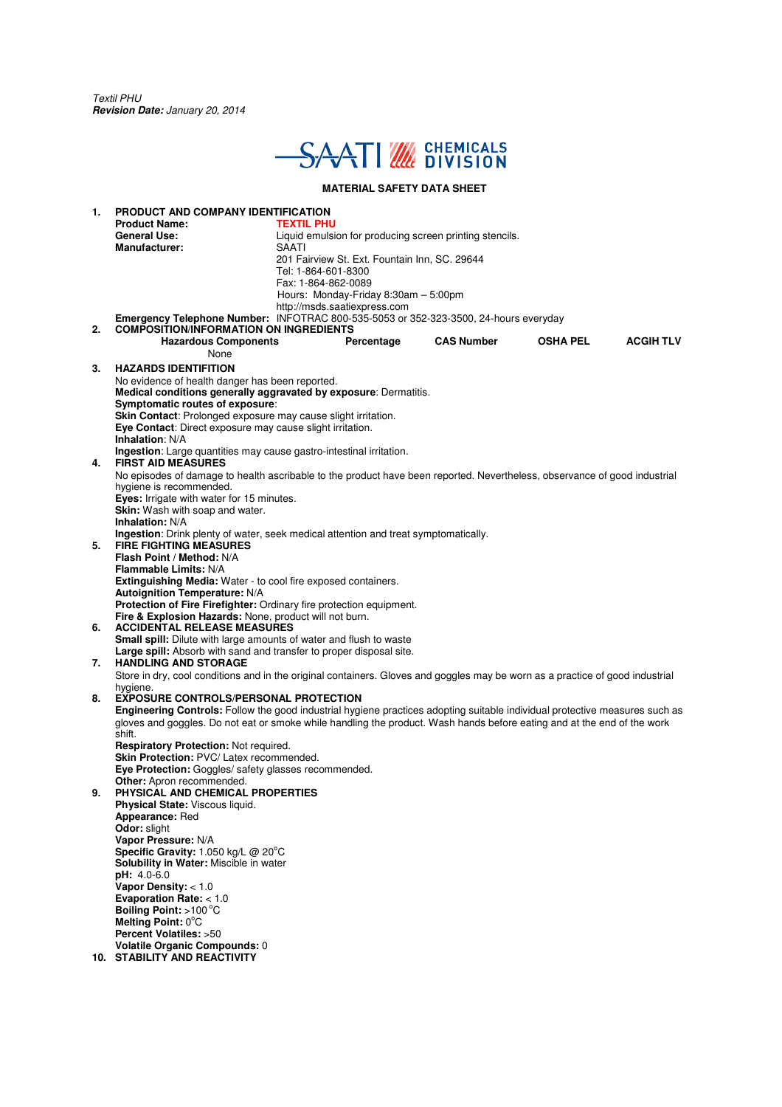Textil PHU **Revision Date:** January 20, 2014



### **MATERIAL SAFETY DATA SHEET**

**1. PRODUCT AND COMPANY IDENTIFICATION Product Name: TEXTIL PHU**<br> **General Use:** Liquid emuls Liquid emulsion for producing screen printing stencils.<br>SAATI **Manufacturer:**  201 Fairview St. Ext. Fountain Inn, SC. 29644 Tel: 1-864-601-8300 Fax: 1-864-862-0089 Hours: Monday-Friday 8:30am – 5:00pm http://msds.saatiexpress.com **Emergency Telephone Number:** INFOTRAC 800-535-5053 or 352-323-3500, 24-hours everyday **2. COMPOSITION/INFORMATION ON INGREDIENTS Hazardous Components Percentage CAS Number OSHA PEL ACGIH TLV** None **3. HAZARDS IDENTIFITION**  No evidence of health danger has been reported. **Medical conditions generally aggravated by exposure**: Dermatitis. **Symptomatic routes of exposure**: **Skin Contact**: Prolonged exposure may cause slight irritation. **Eye Contact**: Direct exposure may cause slight irritation. **Inhalation**: N/A **Ingestion**: Large quantities may cause gastro-intestinal irritation. **4. FIRST AID MEASURES**  No episodes of damage to health ascribable to the product have been reported. Nevertheless, observance of good industrial hygiene is recommended. **Eves:** Irrigate with water for 15 minutes. **Skin:** Wash with soap and water. **Inhalation:** N/A **Ingestion**: Drink plenty of water, seek medical attention and treat symptomatically. **5. FIRE FIGHTING MEASURES Flash Point / Method:** N/A **Flammable Limits:** N/A **Extinguishing Media:** Water - to cool fire exposed containers. **Autoignition Temperature:** N/A **Protection of Fire Firefighter:** Ordinary fire protection equipment. **Fire & Explosion Hazards:** None, product will not burn. **6. ACCIDENTAL RELEASE MEASURES Small spill:** Dilute with large amounts of water and flush to waste **Large spill:** Absorb with sand and transfer to proper disposal site. **7. HANDLING AND STORAGE**  Store in dry, cool conditions and in the original containers. Gloves and goggles may be worn as a practice of good industrial hygiene. **8. EXPOSURE CONTROLS/PERSONAL PROTECTION Engineering Controls:** Follow the good industrial hygiene practices adopting suitable individual protective measures such as gloves and goggles. Do not eat or smoke while handling the product. Wash hands before eating and at the end of the work shift. **Respiratory Protection:** Not required. **Skin Protection:** PVC/ Latex recommended. **Eye Protection:** Goggles/ safety glasses recommended. **Other:** Apron recommended. **9. PHYSICAL AND CHEMICAL PROPERTIES Physical State:** Viscous liquid. **Appearance:** Red **Odor:** slight **Vapor Pressure:** N/A **Specific Gravity: 1.050 kg/L @ 20°C Solubility in Water:** Miscible in water **pH:** 4.0-6.0 **Vapor Density:** < 1.0 **Evaporation Rate:** < 1.0 **Boiling Point: >100 °C Melting Point: 0°C Percent Volatiles:** >50 **Volatile Organic Compounds:** 0 **10. STABILITY AND REACTIVITY**